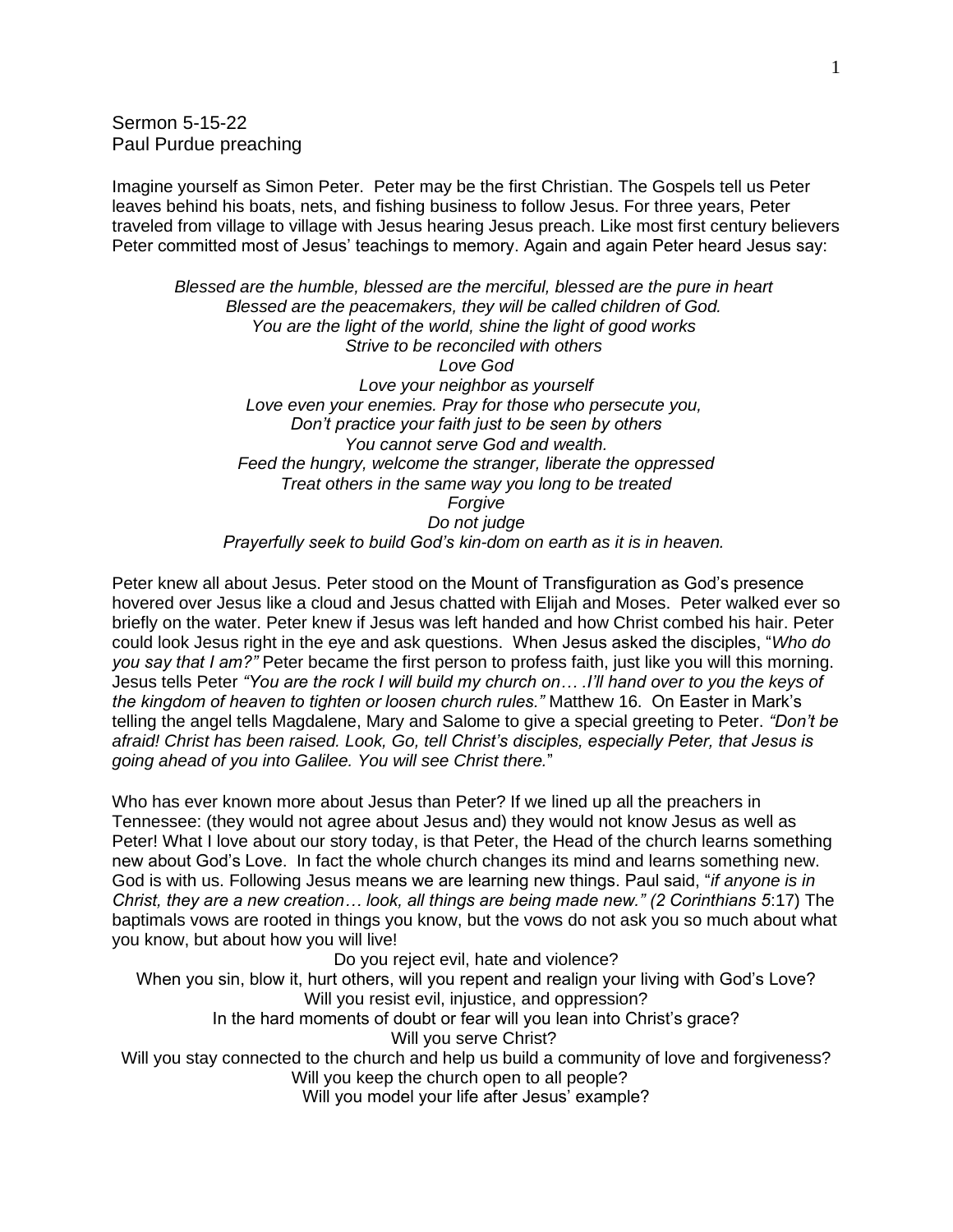Sermon 5-15-22 Paul Purdue preaching

Imagine yourself as Simon Peter. Peter may be the first Christian. The Gospels tell us Peter leaves behind his boats, nets, and fishing business to follow Jesus. For three years, Peter traveled from village to village with Jesus hearing Jesus preach. Like most first century believers Peter committed most of Jesus' teachings to memory. Again and again Peter heard Jesus say:

*Blessed are the humble, blessed are the merciful, blessed are the pure in heart Blessed are the peacemakers, they will be called children of God. You are the light of the world, shine the light of good works Strive to be reconciled with others Love God Love your neighbor as yourself Love even your enemies. Pray for those who persecute you, Don't practice your faith just to be seen by others You cannot serve God and wealth. Feed the hungry, welcome the stranger, liberate the oppressed Treat others in the same way you long to be treated Forgive Do not judge Prayerfully seek to build God's kin-dom on earth as it is in heaven.*

Peter knew all about Jesus. Peter stood on the Mount of Transfiguration as God's presence hovered over Jesus like a cloud and Jesus chatted with Elijah and Moses. Peter walked ever so briefly on the water. Peter knew if Jesus was left handed and how Christ combed his hair. Peter could look Jesus right in the eye and ask questions. When Jesus asked the disciples, "*Who do you say that I am?"* Peter became the first person to profess faith, just like you will this morning. Jesus tells Peter *"You are the rock I will build my church on… .I'll hand over to you the keys of the kingdom of heaven to tighten or loosen church rules."* Matthew 16. On Easter in Mark's telling the angel tells Magdalene, Mary and Salome to give a special greeting to Peter. *"Don't be afraid! Christ has been raised. Look, Go, tell Christ's disciples, especially Peter, that Jesus is going ahead of you into Galilee. You will see Christ there.*"

Who has ever known more about Jesus than Peter? If we lined up all the preachers in Tennessee: (they would not agree about Jesus and) they would not know Jesus as well as Peter! What I love about our story today, is that Peter, the Head of the church learns something new about God's Love. In fact the whole church changes its mind and learns something new. God is with us. Following Jesus means we are learning new things. Paul said, "*if anyone is in Christ, they are a new creation… look, all things are being made new." (2 Corinthians 5*:17) The baptimals vows are rooted in things you know, but the vows do not ask you so much about what you know, but about how you will live!

Do you reject evil, hate and violence? When you sin, blow it, hurt others, will you repent and realign your living with God's Love? Will you resist evil, injustice, and oppression? In the hard moments of doubt or fear will you lean into Christ's grace? Will you serve Christ? Will you stay connected to the church and help us build a community of love and forgiveness? Will you keep the church open to all people? Will you model your life after Jesus' example?